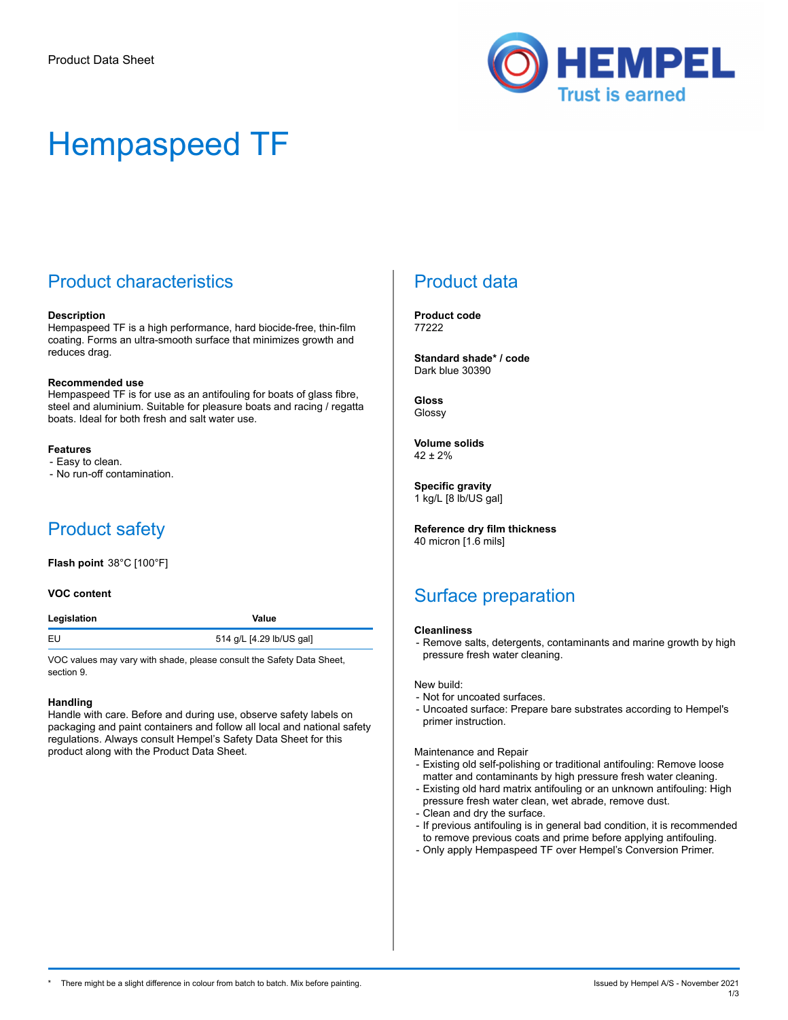

# Hempaspeed TF

## Product characteristics

#### **Description**

Hempaspeed TF is a high performance, hard biocide-free, thin-film coating. Forms an ultra-smooth surface that minimizes growth and reduces drag.

#### **Recommended use**

Hempaspeed TF is for use as an antifouling for boats of glass fibre, steel and aluminium. Suitable for pleasure boats and racing / regatta boats. Ideal for both fresh and salt water use.

#### **Features**

- Easy to clean.

- No run-off contamination.

## Product safety

**Flash point** 38°C [100°F]

#### **VOC content**

| Legislation | Value                    |
|-------------|--------------------------|
| EU          | 514 g/L [4.29 lb/US gal] |
|             |                          |

VOC values may vary with shade, please consult the Safety Data Sheet, section 9.

#### **Handling**

Handle with care. Before and during use, observe safety labels on packaging and paint containers and follow all local and national safety regulations. Always consult Hempel's Safety Data Sheet for this product along with the Product Data Sheet.

### Product data

**Product code** 77222

**Standard shade\* / code** Dark blue 30390

**Gloss** Glossy

**Volume solids** 42 ± 2%

**Specific gravity** 1 kg/L [8 lb/US gal]

**Reference dry film thickness** 40 micron [1.6 mils]

### Surface preparation

#### **Cleanliness**

- Remove salts, detergents, contaminants and marine growth by high pressure fresh water cleaning.

New build:

- Not for uncoated surfaces.
- Uncoated surface: Prepare bare substrates according to Hempel's primer instruction.

#### Maintenance and Repair

- Existing old self-polishing or traditional antifouling: Remove loose matter and contaminants by high pressure fresh water cleaning.
- Existing old hard matrix antifouling or an unknown antifouling: High pressure fresh water clean, wet abrade, remove dust.
- Clean and dry the surface.
- If previous antifouling is in general bad condition, it is recommended to remove previous coats and prime before applying antifouling.
- Only apply Hempaspeed TF over Hempel's Conversion Primer.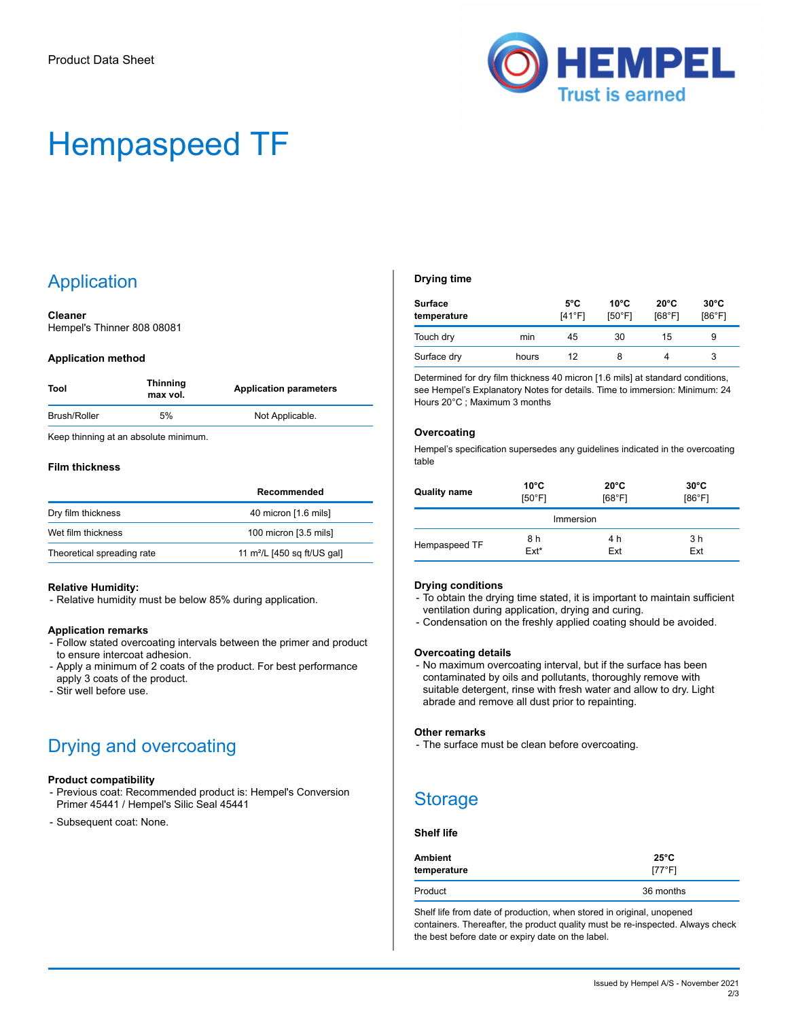

# Hempaspeed TF

## Application

#### **Cleaner** Hempel's Thinner 808 08081

#### **Application method**

| Tool         | <b>Thinning</b><br>max vol. | <b>Application parameters</b> |
|--------------|-----------------------------|-------------------------------|
| Brush/Roller | 5%                          | Not Applicable.               |
|              |                             |                               |

Keep thinning at an absolute minimum.

#### **Film thickness**

|                            | Recommended                   |
|----------------------------|-------------------------------|
| Dry film thickness         | 40 micron [1.6 mils]          |
| Wet film thickness         | 100 micron [3.5 mils]         |
| Theoretical spreading rate | 11 $m^2/L$ [450 sq ft/US gal] |
|                            |                               |

#### **Relative Humidity:**

- Relative humidity must be below 85% during application.

#### **Application remarks**

- Follow stated overcoating intervals between the primer and product to ensure intercoat adhesion.
- Apply a minimum of 2 coats of the product. For best performance apply 3 coats of the product.
- Stir well before use.

## Drying and overcoating

#### **Product compatibility**

- Previous coat: Recommended product is: Hempel's Conversion Primer 45441 / Hempel's Silic Seal 45441
- Subsequent coat: None.

#### **Drying time**

| Surface<br>temperature |       | $5^{\circ}$ C<br>I41°F1 | $10^{\circ}$ C<br>$I50^{\circ}$ F1 | $20^{\circ}$ C<br>168°F1 | $30^{\circ}$ C<br>[86°F1 |
|------------------------|-------|-------------------------|------------------------------------|--------------------------|--------------------------|
| Touch dry              | min   | 45                      | 30                                 | 15                       | 9                        |
| Surface dry            | hours | 12                      |                                    | 4                        |                          |

Determined for dry film thickness 40 micron [1.6 mils] at standard conditions, see Hempel's Explanatory Notes for details. Time to immersion: Minimum: 24 Hours 20°C ; Maximum 3 months

#### **Overcoating**

Hempel's specification supersedes any guidelines indicated in the overcoating table

| <b>Quality name</b> | $10^{\circ}$ C<br>[50°F] | $30^{\circ}$ C<br>$20^{\circ}$ C<br>[68°F]<br>[86°F] |            |
|---------------------|--------------------------|------------------------------------------------------|------------|
| Immersion           |                          |                                                      |            |
| Hempaspeed TF       | 8 h<br>$Ext*$            | 4 h<br>Ext                                           | 3 h<br>Ext |

#### **Drying conditions**

- To obtain the drying time stated, it is important to maintain sufficient ventilation during application, drying and curing.
- Condensation on the freshly applied coating should be avoided.

#### **Overcoating details**

- No maximum overcoating interval, but if the surface has been contaminated by oils and pollutants, thoroughly remove with suitable detergent, rinse with fresh water and allow to dry. Light abrade and remove all dust prior to repainting.

#### **Other remarks**

- The surface must be clean before overcoating.

### **Storage**

#### **Shelf life**

| Ambient     | $25^{\circ}$ C |  |
|-------------|----------------|--|
| temperature | [77°F]         |  |
| Product     | 36 months      |  |

Shelf life from date of production, when stored in original, unopened containers. Thereafter, the product quality must be re-inspected. Always check the best before date or expiry date on the label.